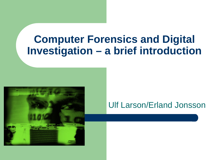#### **Computer Forensics and Digital Investigation – a brief introduction**



#### Ulf Larson/Erland Jonsson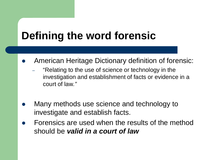# **Defining the word forensic**

- American Heritage Dictionary definition of forensic:
	- "Relating to the use of science or technology in the investigation and establishment of facts or evidence in a court of law*."*
- Many methods use science and technology to investigate and establish facts.
- Forensics are used when the results of the method should be *valid in a court of law*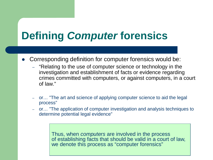# **Defining** *Computer* **forensics**

- Corresponding definition for computer forensics would be:
	- "Relating to the use of computer science or technology in the investigation and establishment of facts or evidence regarding crimes committed with computers, or against computers, in a court of law."
	- or… "The art and science of applying computer science to aid the legal process"
	- or… "The application of computer investigation and analysis techniques to determine potential legal evidence"

Thus, when *computers* are involved in the process of establishing facts that should be valid in a court of law, we denote this process as "computer forensics"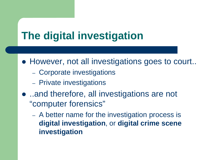### **The digital investigation**

- However, not all investigations goes to court..
	- Corporate investigations
	- Private investigations
- ..and therefore, all investigations are not "computer forensics"
	- A better name for the investigation process is **digital investigation**, or **digital crime scene investigation**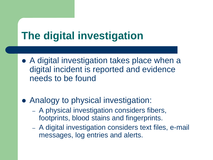### **The digital investigation**

- A digital investigation takes place when a digital incident is reported and evidence needs to be found
- Analogy to physical investigation:
	- A physical investigation considers fibers, footprints, blood stains and fingerprints.
	- A digital investigation considers text files, e-mail messages, log entries and alerts.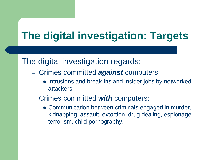## **The digital investigation: Targets**

#### The digital investigation regards:

- Crimes committed *against* computers:
	- Intrusions and break-ins and insider jobs by networked attackers
- Crimes committed *with* computers:
	- Communication between criminals engaged in murder, kidnapping, assault, extortion, drug dealing, espionage, terrorism, child pornography.